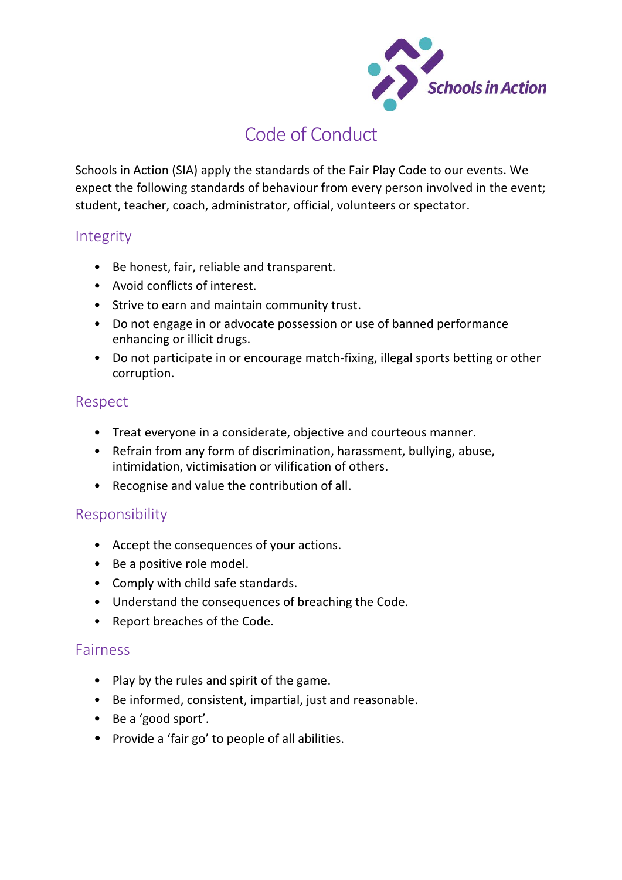

# Code of Conduct

Schools in Action (SIA) apply the standards of the Fair Play Code to our events. We expect the following standards of behaviour from every person involved in the event; student, teacher, coach, administrator, official, volunteers or spectator.

### Integrity

- Be honest, fair, reliable and transparent.
- Avoid conflicts of interest.
- Strive to earn and maintain community trust.
- Do not engage in or advocate possession or use of banned performance enhancing or illicit drugs.
- Do not participate in or encourage match-fixing, illegal sports betting or other corruption.

#### Respect

- Treat everyone in a considerate, objective and courteous manner.
- Refrain from any form of discrimination, harassment, bullying, abuse, intimidation, victimisation or vilification of others.
- Recognise and value the contribution of all.

#### Responsibility

- Accept the consequences of your actions.
- Be a positive role model.
- Comply with child safe standards.
- Understand the consequences of breaching the Code.
- Report breaches of the Code.

#### Fairness

- Play by the rules and spirit of the game.
- Be informed, consistent, impartial, just and reasonable.
- Be a 'good sport'.
- Provide a 'fair go' to people of all abilities.